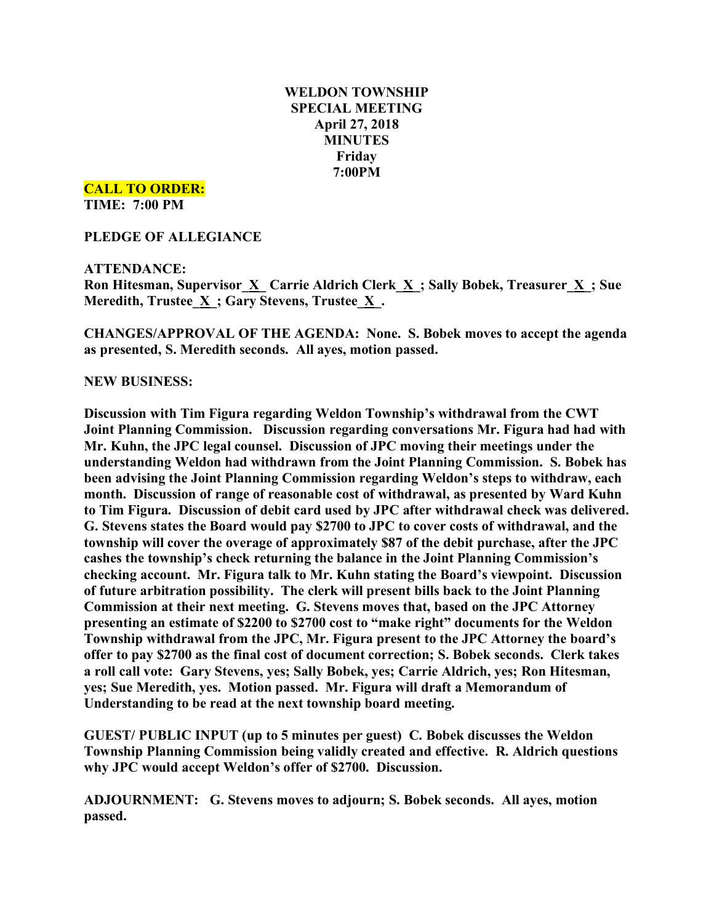## **WELDON TOWNSHIP SPECIAL MEETING April 27, 2018 MINUTES Friday 7:00PM**

**CALL TO ORDER:**

**TIME: 7:00 PM**

**PLEDGE OF ALLEGIANCE**

## **ATTENDANCE:**

**Ron Hitesman, Supervisor\_X\_ Carrie Aldrich Clerk\_X\_; Sally Bobek, Treasurer\_X\_; Sue Meredith, Trustee**  $\underline{X}$ **; Gary Stevens, Trustee**  $\underline{X}$ **.** 

**CHANGES/APPROVAL OF THE AGENDA: None. S. Bobek moves to accept the agenda as presented, S. Meredith seconds. All ayes, motion passed.**

## **NEW BUSINESS:**

**Discussion with Tim Figura regarding Weldon Township's withdrawal from the CWT Joint Planning Commission. Discussion regarding conversations Mr. Figura had had with Mr. Kuhn, the JPC legal counsel. Discussion of JPC moving their meetings under the understanding Weldon had withdrawn from the Joint Planning Commission. S. Bobek has been advising the Joint Planning Commission regarding Weldon's steps to withdraw, each month. Discussion of range of reasonable cost of withdrawal, as presented by Ward Kuhn to Tim Figura. Discussion of debit card used by JPC after withdrawal check was delivered. G. Stevens states the Board would pay \$2700 to JPC to cover costs of withdrawal, and the township will cover the overage of approximately \$87 of the debit purchase, after the JPC cashes the township's check returning the balance in the Joint Planning Commission's checking account. Mr. Figura talk to Mr. Kuhn stating the Board's viewpoint. Discussion of future arbitration possibility. The clerk will present bills back to the Joint Planning Commission at their next meeting. G. Stevens moves that, based on the JPC Attorney presenting an estimate of \$2200 to \$2700 cost to "make right" documents for the Weldon Township withdrawal from the JPC, Mr. Figura present to the JPC Attorney the board's offer to pay \$2700 as the final cost of document correction; S. Bobek seconds. Clerk takes a roll call vote: Gary Stevens, yes; Sally Bobek, yes; Carrie Aldrich, yes; Ron Hitesman, yes; Sue Meredith, yes. Motion passed. Mr. Figura will draft a Memorandum of Understanding to be read at the next township board meeting.**

**GUEST/ PUBLIC INPUT (up to 5 minutes per guest) C. Bobek discusses the Weldon Township Planning Commission being validly created and effective. R. Aldrich questions why JPC would accept Weldon's offer of \$2700. Discussion.**

**ADJOURNMENT: G. Stevens moves to adjourn; S. Bobek seconds. All ayes, motion passed.**